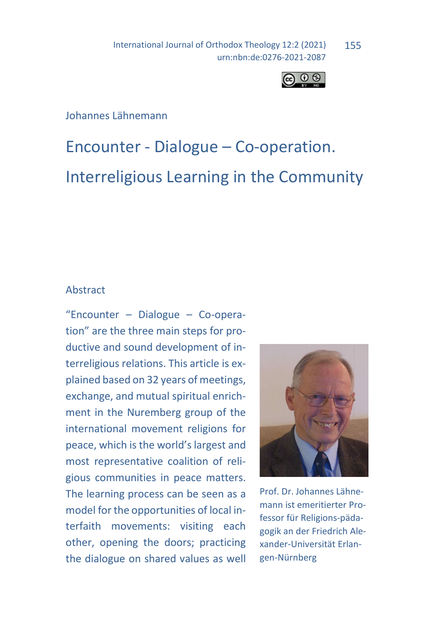International Journal of Orthodox Theology 12:2 (2021) urn:nbn:de:0276-2021-2087 155



## Johannes Lähnemann

# Encounter - Dialogue – Co-operation. Interreligious Learning in the Community

## Abstract

"Encounter – Dialogue – Co-operation" are the three main steps for productive and sound development of interreligious relations. This article is explained based on 32 years of meetings, exchange, and mutual spiritual enrichment in the Nuremberg group of the international movement religions for peace, which is the world's largest and most representative coalition of religious communities in peace matters. The learning process can be seen as a model for the opportunities of local interfaith movements: visiting each other, opening the doors; practicing the dialogue on shared values as well



Prof. Dr. Johannes Lähnemann ist emeritierter Professor für Religions-pädagogik an der Friedrich Alexander-Universität Erlangen-Nürnberg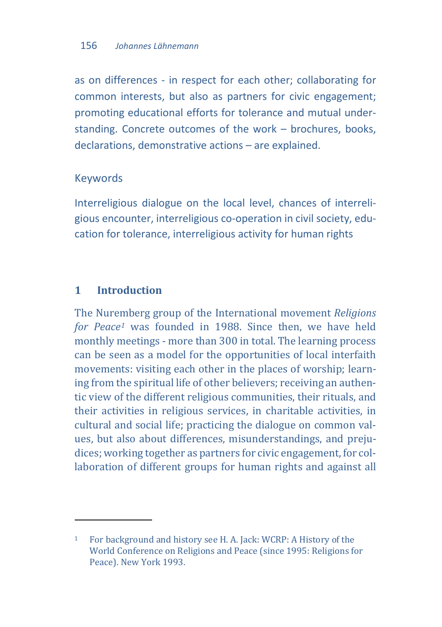as on differences - in respect for each other; collaborating for common interests, but also as partners for civic engagement; promoting educational efforts for tolerance and mutual understanding. Concrete outcomes of the work – brochures, books, declarations, demonstrative actions – are explained.

## Keywords

Interreligious dialogue on the local level, chances of interreligious encounter, interreligious co-operation in civil society, education for tolerance, interreligious activity for human rights

# **1 Introduction**

l

The Nuremberg group of the International movement *Religions for Peace[1](#page-1-0)* was founded in 1988. Since then, we have held monthly meetings - more than 300 in total. The learning process can be seen as a model for the opportunities of local interfaith movements: visiting each other in the places of worship; learning from the spiritual life of other believers; receiving an authentic view of the different religious communities, their rituals, and their activities in religious services, in charitable activities, in cultural and social life; practicing the dialogue on common values, but also about differences, misunderstandings, and prejudices; working together as partners for civic engagement, for collaboration of different groups for human rights and against all

<span id="page-1-0"></span><sup>1</sup> For background and history see H. A. Jack: WCRP: A History of the World Conference on Religions and Peace (since 1995: Religions for Peace). New York 1993.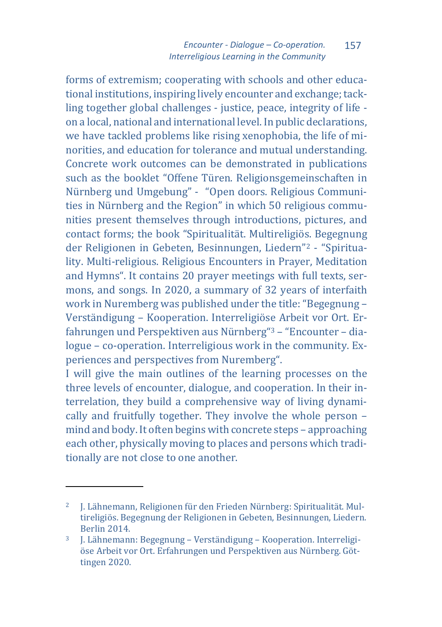forms of extremism; cooperating with schools and other educational institutions, inspiring lively encounter and exchange; tackling together global challenges - justice, peace, integrity of life on a local, national and international level. In public declarations, we have tackled problems like rising xenophobia, the life of minorities, and education for tolerance and mutual understanding. Concrete work outcomes can be demonstrated in publications such as the booklet "Offene Türen. Religionsgemeinschaften in Nürnberg und Umgebung" - "Open doors. Religious Communities in Nürnberg and the Region" in which 50 religious communities present themselves through introductions, pictures, and contact forms; the book "Spiritualität. Multireligiös. Begegnung der Religionen in Gebeten, Besinnungen, Liedern"[2](#page-2-0) - "Spirituality. Multi-religious. Religious Encounters in Prayer, Meditation and Hymns". It contains 20 prayer meetings with full texts, sermons, and songs. In 2020, a summary of 32 years of interfaith work in Nuremberg was published under the title: "Begegnung – Verständigung – Kooperation. Interreligiöse Arbeit vor Ort. Erfahrungen und Perspektiven aus Nürnberg"[3](#page-2-1) – "Encounter – dialogue – co-operation. Interreligious work in the community. Experiences and perspectives from Nuremberg".

I will give the main outlines of the learning processes on the three levels of encounter, dialogue, and cooperation. In their interrelation, they build a comprehensive way of living dynamically and fruitfully together. They involve the whole person – mind and body. It often begins with concrete steps – approaching each other, physically moving to places and persons which traditionally are not close to one another.

 $\ddot{\phantom{a}}$ 

<span id="page-2-0"></span><sup>2</sup> J. Lähnemann, Religionen für den Frieden Nürnberg: Spiritualität. Multireligiös. Begegnung der Religionen in Gebeten, Besinnungen, Liedern. Berlin 2014.

<span id="page-2-1"></span><sup>3</sup> J. Lähnemann: Begegnung – Verständigung – Kooperation. Interreligiöse Arbeit vor Ort. Erfahrungen und Perspektiven aus Nürnberg. Göttingen 2020.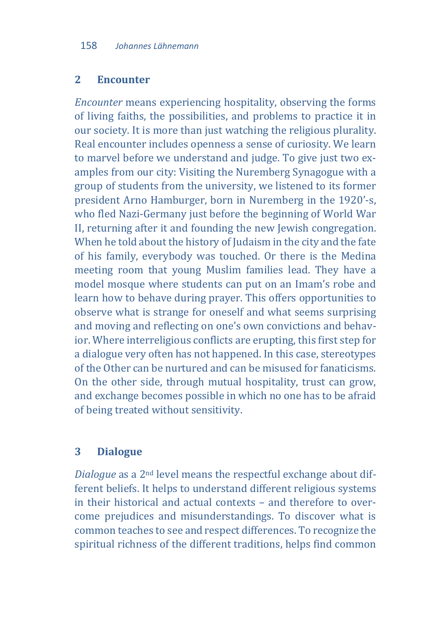#### **2 Encounter**

*Encounter* means experiencing hospitality, observing the forms of living faiths, the possibilities, and problems to practice it in our society. It is more than just watching the religious plurality. Real encounter includes openness a sense of curiosity. We learn to marvel before we understand and judge. To give just two examples from our city: Visiting the Nuremberg Synagogue with a group of students from the university, we listened to its former president Arno Hamburger, born in Nuremberg in the 1920'-s, who fled Nazi-Germany just before the beginning of World War II, returning after it and founding the new Jewish congregation. When he told about the history of Judaism in the city and the fate of his family, everybody was touched. Or there is the Medina meeting room that young Muslim families lead. They have a model mosque where students can put on an Imam's robe and learn how to behave during prayer. This offers opportunities to observe what is strange for oneself and what seems surprising and moving and reflecting on one's own convictions and behavior. Where interreligious conflicts are erupting, this first step for a dialogue very often has not happened. In this case, stereotypes of the Other can be nurtured and can be misused for fanaticisms. On the other side, through mutual hospitality, trust can grow, and exchange becomes possible in which no one has to be afraid of being treated without sensitivity.

#### **3 Dialogue**

*Dialogue* as a 2nd level means the respectful exchange about different beliefs. It helps to understand different religious systems in their historical and actual contexts – and therefore to overcome prejudices and misunderstandings. To discover what is common teaches to see and respect differences. To recognize the spiritual richness of the different traditions, helps find common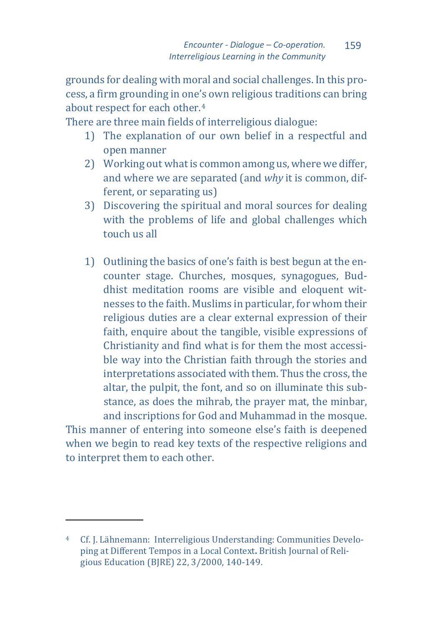grounds for dealing with moral and social challenges. In this process, a firm grounding in one's own religious traditions can bring about respect for each other.[4](#page-4-0)

There are three main fields of interreligious dialogue:

- 1) The explanation of our own belief in a respectful and open manner
- 2) Working out what is common among us, where we differ, and where we are separated (and *why* it is common, different, or separating us)
- 3) Discovering the spiritual and moral sources for dealing with the problems of life and global challenges which touch us all
- 1) Outlining the basics of one's faith is best begun at the encounter stage. Churches, mosques, synagogues, Buddhist meditation rooms are visible and eloquent witnesses to the faith. Muslims in particular, for whom their religious duties are a clear external expression of their faith, enquire about the tangible, visible expressions of Christianity and find what is for them the most accessible way into the Christian faith through the stories and interpretations associated with them. Thus the cross, the altar, the pulpit, the font, and so on illuminate this substance, as does the mihrab, the prayer mat, the minbar, and inscriptions for God and Muhammad in the mosque.

This manner of entering into someone else's faith is deepened when we begin to read key texts of the respective religions and to interpret them to each other.

 $\overline{a}$ 

<span id="page-4-0"></span><sup>4</sup> Cf. J. Lähnemann: Interreligious Understanding: Communities Developing at Different Tempos in a Local Context**.** British Journal of Religious Education (BJRE) 22, 3/2000, 140-149.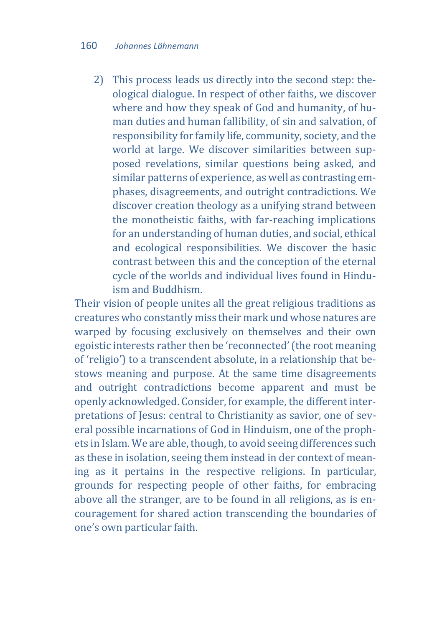2) This process leads us directly into the second step: theological dialogue. In respect of other faiths, we discover where and how they speak of God and humanity, of human duties and human fallibility, of sin and salvation, of responsibility for family life, community, society, and the world at large. We discover similarities between supposed revelations, similar questions being asked, and similar patterns of experience, as well as contrasting emphases, disagreements, and outright contradictions. We discover creation theology as a unifying strand between the monotheistic faiths, with far-reaching implications for an understanding of human duties, and social, ethical and ecological responsibilities. We discover the basic contrast between this and the conception of the eternal cycle of the worlds and individual lives found in Hinduism and Buddhism.

Their vision of people unites all the great religious traditions as creatures who constantly miss their mark und whose natures are warped by focusing exclusively on themselves and their own egoistic interests rather then be 'reconnected' (the root meaning of 'religio') to a transcendent absolute, in a relationship that bestows meaning and purpose. At the same time disagreements and outright contradictions become apparent and must be openly acknowledged. Consider, for example, the different interpretations of Jesus: central to Christianity as savior, one of several possible incarnations of God in Hinduism, one of the prophets in Islam. We are able, though, to avoid seeing differences such as these in isolation, seeing them instead in der context of meaning as it pertains in the respective religions. In particular, grounds for respecting people of other faiths, for embracing above all the stranger, are to be found in all religions, as is encouragement for shared action transcending the boundaries of one's own particular faith.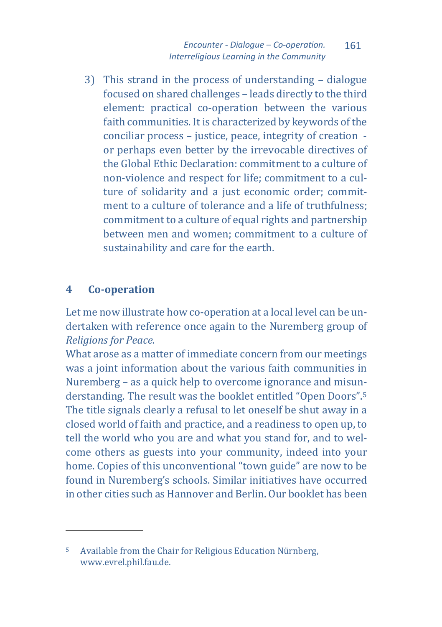3) This strand in the process of understanding – dialogue focused on shared challenges – leads directly to the third element: practical co-operation between the various faith communities. It is characterized by keywords of the conciliar process – justice, peace, integrity of creation or perhaps even better by the irrevocable directives of the Global Ethic Declaration: commitment to a culture of non-violence and respect for life; commitment to a culture of solidarity and a just economic order; commitment to a culture of tolerance and a life of truthfulness; commitment to a culture of equal rights and partnership between men and women; commitment to a culture of sustainability and care for the earth.

# **4 Co-operation**

 $\overline{a}$ 

Let me now illustrate how co-operation at a local level can be undertaken with reference once again to the Nuremberg group of *Religions for Peace.*

What arose as a matter of immediate concern from our meetings was a joint information about the various faith communities in Nuremberg – as a quick help to overcome ignorance and misunderstanding. The result was the booklet entitled "Open Doors".[5](#page-6-0) The title signals clearly a refusal to let oneself be shut away in a closed world of faith and practice, and a readiness to open up, to tell the world who you are and what you stand for, and to welcome others as guests into your community, indeed into your home. Copies of this unconventional "town guide" are now to be found in Nuremberg's schools. Similar initiatives have occurred in other cities such as Hannover and Berlin. Our booklet has been

<span id="page-6-0"></span><sup>5</sup> Available from the Chair for Religious Education Nürnberg, www.evrel.phil.fau.de.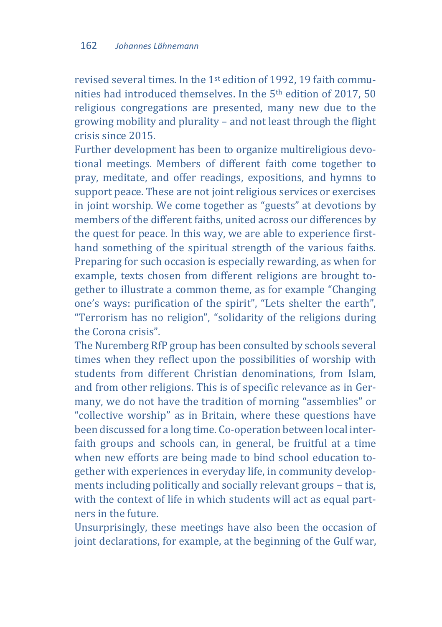revised several times. In the 1st edition of 1992, 19 faith communities had introduced themselves. In the 5<sup>th</sup> edition of 2017, 50 religious congregations are presented, many new due to the growing mobility and plurality – and not least through the flight crisis since 2015.

Further development has been to organize multireligious devotional meetings. Members of different faith come together to pray, meditate, and offer readings, expositions, and hymns to support peace. These are not joint religious services or exercises in joint worship. We come together as "guests" at devotions by members of the different faiths, united across our differences by the quest for peace. In this way, we are able to experience firsthand something of the spiritual strength of the various faiths. Preparing for such occasion is especially rewarding, as when for example, texts chosen from different religions are brought together to illustrate a common theme, as for example "Changing one's ways: purification of the spirit", "Lets shelter the earth", "Terrorism has no religion", "solidarity of the religions during the Corona crisis".

The Nuremberg RfP group has been consulted by schools several times when they reflect upon the possibilities of worship with students from different Christian denominations, from Islam, and from other religions. This is of specific relevance as in Germany, we do not have the tradition of morning "assemblies" or "collective worship" as in Britain, where these questions have been discussed for a long time. Co-operation between local interfaith groups and schools can, in general, be fruitful at a time when new efforts are being made to bind school education together with experiences in everyday life, in community developments including politically and socially relevant groups – that is, with the context of life in which students will act as equal partners in the future.

Unsurprisingly, these meetings have also been the occasion of joint declarations, for example, at the beginning of the Gulf war,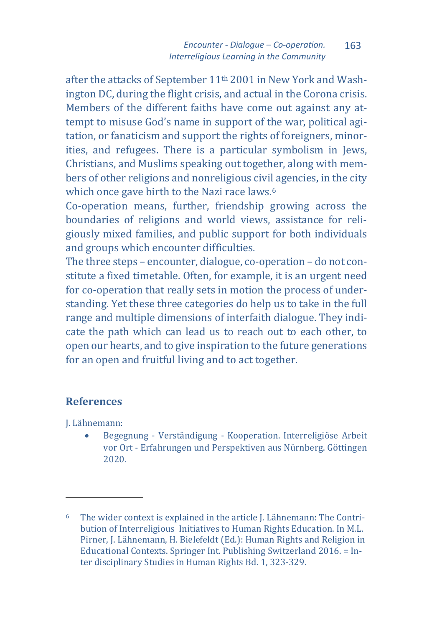after the attacks of September 11th 2001 in New York and Washington DC, during the flight crisis, and actual in the Corona crisis. Members of the different faiths have come out against any attempt to misuse God's name in support of the war, political agitation, or fanaticism and support the rights of foreigners, minorities, and refugees. There is a particular symbolism in Jews, Christians, and Muslims speaking out together, along with members of other religions and nonreligious civil agencies, in the city which once gave birth to the Nazi race laws.<sup>6</sup>

Co-operation means, further, friendship growing across the boundaries of religions and world views, assistance for religiously mixed families, and public support for both individuals and groups which encounter difficulties.

The three steps – encounter, dialogue, co-operation – do not constitute a fixed timetable. Often, for example, it is an urgent need for co-operation that really sets in motion the process of understanding. Yet these three categories do help us to take in the full range and multiple dimensions of interfaith dialogue. They indicate the path which can lead us to reach out to each other, to open our hearts, and to give inspiration to the future generations for an open and fruitful living and to act together.

## **References**

J. Lähnemann:

 $\overline{a}$ 

• Begegnung - Verständigung - Kooperation. Interreligiöse Arbeit vor Ort - Erfahrungen und Perspektiven aus Nürnberg. Göttingen 2020.

<span id="page-8-0"></span><sup>6</sup> The wider context is explained in the article J. Lähnemann: The Contribution of Interreligious Initiatives to Human Rights Education. In M.L. Pirner, J. Lähnemann, H. Bielefeldt (Ed.): Human Rights and Religion in Educational Contexts. Springer Int. Publishing Switzerland 2016. = Inter disciplinary Studies in Human Rights Bd. 1, 323-329.